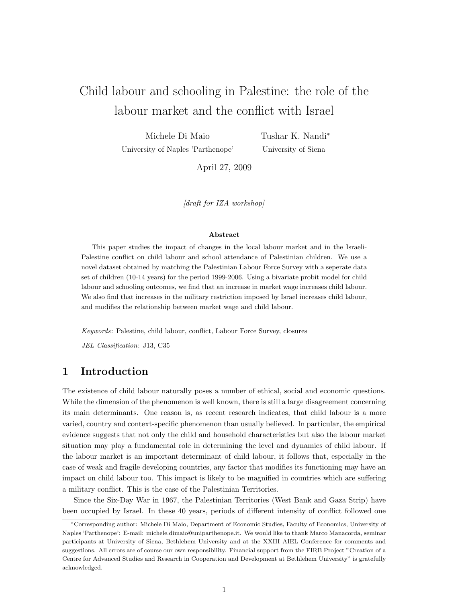# Child labour and schooling in Palestine: the role of the labour market and the conflict with Israel

Michele Di Maio University of Naples 'Parthenope'

Tushar K. Nandi<sup>∗</sup> University of Siena

April 27, 2009

 $\delta$  draft for IZA workshop

#### Abstract

This paper studies the impact of changes in the local labour market and in the Israeli-Palestine conflict on child labour and school attendance of Palestinian children. We use a novel dataset obtained by matching the Palestinian Labour Force Survey with a seperate data set of children (10-14 years) for the period 1999-2006. Using a bivariate probit model for child labour and schooling outcomes, we find that an increase in market wage increases child labour. We also find that increases in the military restriction imposed by Israel increases child labour, and modifies the relationship between market wage and child labour.

Keywords: Palestine, child labour, conflict, Labour Force Survey, closures

JEL Classification: J13, C35

## 1 Introduction

The existence of child labour naturally poses a number of ethical, social and economic questions. While the dimension of the phenomenon is well known, there is still a large disagreement concerning its main determinants. One reason is, as recent research indicates, that child labour is a more varied, country and context-specific phenomenon than usually believed. In particular, the empirical evidence suggests that not only the child and household characteristics but also the labour market situation may play a fundamental role in determining the level and dynamics of child labour. If the labour market is an important determinant of child labour, it follows that, especially in the case of weak and fragile developing countries, any factor that modifies its functioning may have an impact on child labour too. This impact is likely to be magnified in countries which are suffering a military conflict. This is the case of the Palestinian Territories.

Since the Six-Day War in 1967, the Palestinian Territories (West Bank and Gaza Strip) have been occupied by Israel. In these 40 years, periods of different intensity of conflict followed one

<sup>∗</sup>Corresponding author: Michele Di Maio, Department of Economic Studies, Faculty of Economics, University of Naples 'Parthenope': E-mail: michele.dimaio@uniparthenope.it. We would like to thank Marco Manacorda, seminar participants at University of Siena, Bethlehem University and at the XXIII AIEL Conference for comments and suggestions. All errors are of course our own responsibility. Financial support from the FIRB Project "Creation of a Centre for Advanced Studies and Research in Cooperation and Development at Bethlehem University" is gratefully acknowledged.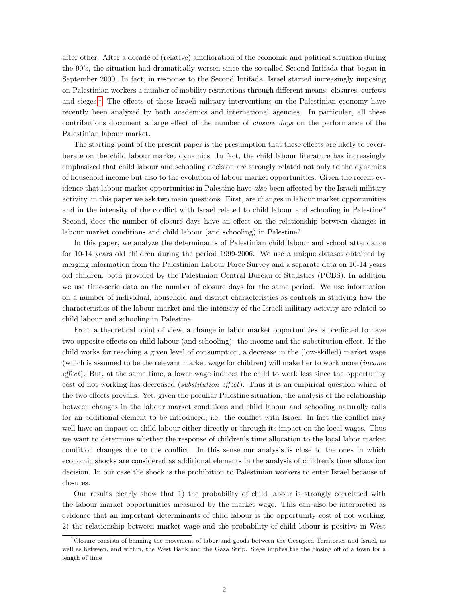after other. After a decade of (relative) amelioration of the economic and political situation during the 90's, the situation had dramatically worsen since the so-called Second Intifada that began in September 2000. In fact, in response to the Second Intifada, Israel started increasingly imposing on Palestinian workers a number of mobility restrictions through different means: closures, curfews and sieges.[1](#page-1-0) The effects of these Israeli military interventions on the Palestinian economy have recently been analyzed by both academics and international agencies. In particular, all these contributions document a large effect of the number of closure days on the performance of the Palestinian labour market.

The starting point of the present paper is the presumption that these effects are likely to reverberate on the child labour market dynamics. In fact, the child labour literature has increasingly emphasized that child labour and schooling decision are strongly related not only to the dynamics of household income but also to the evolution of labour market opportunities. Given the recent evidence that labour market opportunities in Palestine have also been affected by the Israeli military activity, in this paper we ask two main questions. First, are changes in labour market opportunities and in the intensity of the conflict with Israel related to child labour and schooling in Palestine? Second, does the number of closure days have an effect on the relationship between changes in labour market conditions and child labour (and schooling) in Palestine?

In this paper, we analyze the determinants of Palestinian child labour and school attendance for 10-14 years old children during the period 1999-2006. We use a unique dataset obtained by merging information from the Palestinian Labour Force Survey and a separate data on 10-14 years old children, both provided by the Palestinian Central Bureau of Statistics (PCBS). In addition we use time-serie data on the number of closure days for the same period. We use information on a number of individual, household and district characteristics as controls in studying how the characteristics of the labour market and the intensity of the Israeli military activity are related to child labour and schooling in Palestine.

From a theoretical point of view, a change in labor market opportunities is predicted to have two opposite effects on child labour (and schooling): the income and the substitution effect. If the child works for reaching a given level of consumption, a decrease in the (low-skilled) market wage (which is assumed to be the relevant market wage for children) will make her to work more (income effect). But, at the same time, a lower wage induces the child to work less since the opportunity cost of not working has decreased (*substitution effect*). Thus it is an empirical question which of the two effects prevails. Yet, given the peculiar Palestine situation, the analysis of the relationship between changes in the labour market conditions and child labour and schooling naturally calls for an additional element to be introduced, i.e. the conflict with Israel. In fact the conflict may well have an impact on child labour either directly or through its impact on the local wages. Thus we want to determine whether the response of children's time allocation to the local labor market condition changes due to the conflict. In this sense our analysis is close to the ones in which economic shocks are considered as additional elements in the analysis of children's time allocation decision. In our case the shock is the prohibition to Palestinian workers to enter Israel because of closures.

Our results clearly show that 1) the probability of child labour is strongly correlated with the labour market opportunities measured by the market wage. This can also be interpreted as evidence that an important determinants of child labour is the opportunity cost of not working. 2) the relationship between market wage and the probability of child labour is positive in West

<span id="page-1-0"></span><sup>1</sup>Closure consists of banning the movement of labor and goods between the Occupied Territories and Israel, as well as between, and within, the West Bank and the Gaza Strip. Siege implies the the closing off of a town for a length of time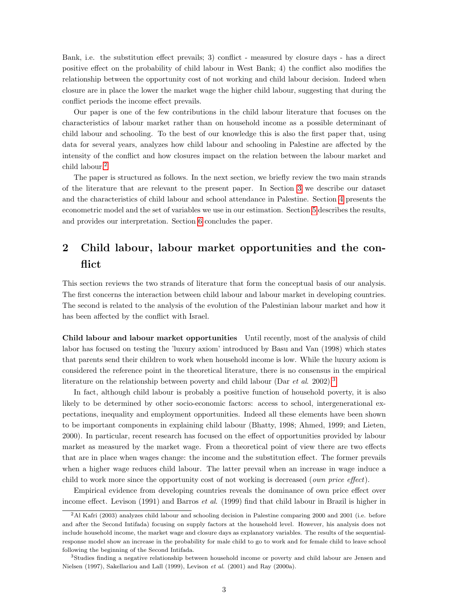Bank, i.e. the substitution effect prevails; 3) conflict - measured by closure days - has a direct positive effect on the probability of child labour in West Bank; 4) the conflict also modifies the relationship between the opportunity cost of not working and child labour decision. Indeed when closure are in place the lower the market wage the higher child labour, suggesting that during the conflict periods the income effect prevails.

Our paper is one of the few contributions in the child labour literature that focuses on the characteristics of labour market rather than on household income as a possible determinant of child labour and schooling. To the best of our knowledge this is also the first paper that, using data for several years, analyzes how child labour and schooling in Palestine are affected by the intensity of the conflict and how closures impact on the relation between the labour market and child labour.[2](#page-2-0)

The paper is structured as follows. In the next section, we briefly review the two main strands of the literature that are relevant to the present paper. In Section [3](#page-4-0) we describe our dataset and the characteristics of child labour and school attendance in Palestine. Section [4](#page-7-0) presents the econometric model and the set of variables we use in our estimation. Section [5](#page-10-0) describes the results, and provides our interpretation. Section [6](#page-17-0) concludes the paper.

## 2 Child labour, labour market opportunities and the conflict

This section reviews the two strands of literature that form the conceptual basis of our analysis. The first concerns the interaction between child labour and labour market in developing countries. The second is related to the analysis of the evolution of the Palestinian labour market and how it has been affected by the conflict with Israel.

Child labour and labour market opportunities Until recently, most of the analysis of child labor has focused on testing the 'luxury axiom' introduced by Basu and Van (1998) which states that parents send their children to work when household income is low. While the luxury axiom is considered the reference point in the theoretical literature, there is no consensus in the empirical literature on the relationship between poverty and child labour (Dar *et al.* 2002).<sup>[3](#page-2-1)</sup>

In fact, although child labour is probably a positive function of household poverty, it is also likely to be determined by other socio-economic factors: access to school, intergenerational expectations, inequality and employment opportunities. Indeed all these elements have been shown to be important components in explaining child labour (Bhatty, 1998; Ahmed, 1999; and Lieten, 2000). In particular, recent research has focused on the effect of opportunities provided by labour market as measured by the market wage. From a theoretical point of view there are two effects that are in place when wages change: the income and the substitution effect. The former prevails when a higher wage reduces child labour. The latter prevail when an increase in wage induce a child to work more since the opportunity cost of not working is decreased (own price effect).

Empirical evidence from developing countries reveals the dominance of own price effect over income effect. Levison (1991) and Barros *et al.* (1999) find that child labour in Brazil is higher in

<span id="page-2-0"></span><sup>2</sup>Al Kafri (2003) analyzes child labour and schooling decision in Palestine comparing 2000 and 2001 (i.e. before and after the Second Intifada) focusing on supply factors at the household level. However, his analysis does not include household income, the market wage and closure days as explanatory variables. The results of the sequentialresponse model show an increase in the probability for male child to go to work and for female child to leave school following the beginning of the Second Intifada.

<span id="page-2-1"></span><sup>&</sup>lt;sup>3</sup>Studies finding a negative relationship between household income or poverty and child labour are Jensen and Nielsen (1997), Sakellariou and Lall (1999), Levison et al. (2001) and Ray (2000a).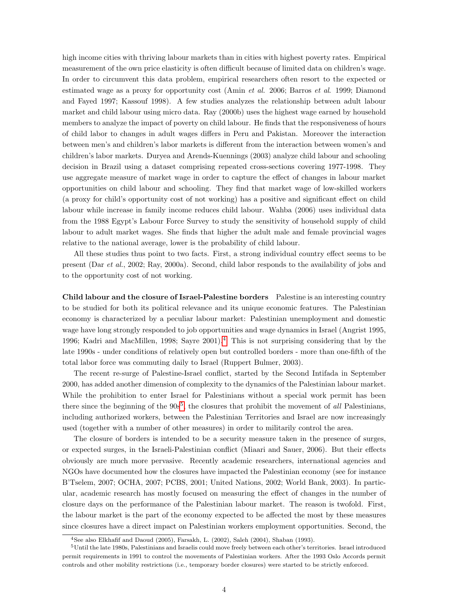high income cities with thriving labour markets than in cities with highest poverty rates. Empirical measurement of the own price elasticity is often difficult because of limited data on children's wage. In order to circumvent this data problem, empirical researchers often resort to the expected or estimated wage as a proxy for opportunity cost (Amin et al. 2006; Barros et al. 1999; Diamond and Fayed 1997; Kassouf 1998). A few studies analyzes the relationship between adult labour market and child labour using micro data. Ray (2000b) uses the highest wage earned by household members to analyze the impact of poverty on child labour. He finds that the responsiveness of hours of child labor to changes in adult wages differs in Peru and Pakistan. Moreover the interaction between men's and children's labor markets is different from the interaction between women's and children's labor markets. Duryea and Arends-Kuennings (2003) analyze child labour and schooling decision in Brazil using a dataset comprising repeated cross-sections covering 1977-1998. They use aggregate measure of market wage in order to capture the effect of changes in labour market opportunities on child labour and schooling. They find that market wage of low-skilled workers (a proxy for child's opportunity cost of not working) has a positive and significant effect on child labour while increase in family income reduces child labour. Wahba (2006) uses individual data from the 1988 Egypt's Labour Force Survey to study the sensitivity of household supply of child labour to adult market wages. She finds that higher the adult male and female provincial wages relative to the national average, lower is the probability of child labour.

All these studies thus point to two facts. First, a strong individual country effect seems to be present (Dar et al., 2002; Ray, 2000a). Second, child labor responds to the availability of jobs and to the opportunity cost of not working.

<span id="page-3-2"></span>Child labour and the closure of Israel-Palestine borders Palestine is an interesting country to be studied for both its political relevance and its unique economic features. The Palestinian economy is characterized by a peculiar labour market: Palestinian unemployment and domestic wage have long strongly responded to job opportunities and wage dynamics in Israel (Angrist 1995, 1996; Kadri and MacMillen, 1998; Sayre  $2001$ <sup>[4](#page-3-0)</sup>. This is not surprising considering that by the late 1990s - under conditions of relatively open but controlled borders - more than one-fifth of the total labor force was commuting daily to Israel (Ruppert Bulmer, 2003).

The recent re-surge of Palestine-Israel conflict, started by the Second Intifada in September 2000, has added another dimension of complexity to the dynamics of the Palestinian labour market. While the prohibition to enter Israel for Palestinians without a special work permit has been there since the beginning of the  $90s^5$  $90s^5$ , the closures that prohibit the movement of all Palestinians, including authorized workers, between the Palestinian Territories and Israel are now increasingly used (together with a number of other measures) in order to militarily control the area.

The closure of borders is intended to be a security measure taken in the presence of surges, or expected surges, in the Israeli-Palestinian conflict (Miaari and Sauer, 2006). But their effects obviously are much more pervasive. Recently academic researchers, international agencies and NGOs have documented how the closures have impacted the Palestinian economy (see for instance B'Tselem, 2007; OCHA, 2007; PCBS, 2001; United Nations, 2002; World Bank, 2003). In particular, academic research has mostly focused on measuring the effect of changes in the number of closure days on the performance of the Palestinian labour market. The reason is twofold. First, the labour market is the part of the economy expected to be affected the most by these measures since closures have a direct impact on Palestinian workers employment opportunities. Second, the

<span id="page-3-1"></span><span id="page-3-0"></span><sup>4</sup>See also Elkhafif and Daoud (2005), Farsakh, L. (2002), Saleh (2004), Shaban (1993).

<sup>5</sup>Until the late 1980s, Palestinians and Israelis could move freely between each other's territories. Israel introduced permit requirements in 1991 to control the movements of Palestinian workers. After the 1993 Oslo Accords permit controls and other mobility restrictions (i.e., temporary border closures) were started to be strictly enforced.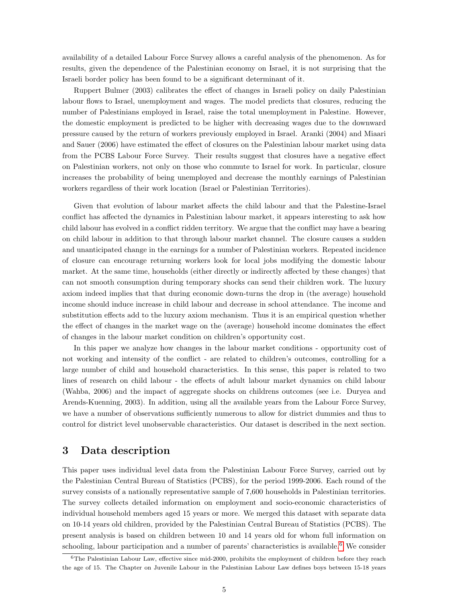availability of a detailed Labour Force Survey allows a careful analysis of the phenomenon. As for results, given the dependence of the Palestinian economy on Israel, it is not surprising that the Israeli border policy has been found to be a significant determinant of it.

Ruppert Bulmer (2003) calibrates the effect of changes in Israeli policy on daily Palestinian labour flows to Israel, unemployment and wages. The model predicts that closures, reducing the number of Palestinians employed in Israel, raise the total unemployment in Palestine. However, the domestic employment is predicted to be higher with decreasing wages due to the downward pressure caused by the return of workers previously employed in Israel. Aranki (2004) and Miaari and Sauer (2006) have estimated the effect of closures on the Palestinian labour market using data from the PCBS Labour Force Survey. Their results suggest that closures have a negative effect on Palestinian workers, not only on those who commute to Israel for work. In particular, closure increases the probability of being unemployed and decrease the monthly earnings of Palestinian workers regardless of their work location (Israel or Palestinian Territories).

Given that evolution of labour market affects the child labour and that the Palestine-Israel conflict has affected the dynamics in Palestinian labour market, it appears interesting to ask how child labour has evolved in a conflict ridden territory. We argue that the conflict may have a bearing on child labour in addition to that through labour market channel. The closure causes a sudden and unanticipated change in the earnings for a number of Palestinian workers. Repeated incidence of closure can encourage returning workers look for local jobs modifying the domestic labour market. At the same time, households (either directly or indirectly affected by these changes) that can not smooth consumption during temporary shocks can send their children work. The luxury axiom indeed implies that that during economic down-turns the drop in (the average) household income should induce increase in child labour and decrease in school attendance. The income and substitution effects add to the luxury axiom mechanism. Thus it is an empirical question whether the effect of changes in the market wage on the (average) household income dominates the effect of changes in the labour market condition on children's opportunity cost.

In this paper we analyze how changes in the labour market conditions - opportunity cost of not working and intensity of the conflict - are related to children's outcomes, controlling for a large number of child and household characteristics. In this sense, this paper is related to two lines of research on child labour - the effects of adult labour market dynamics on child labour (Wahba, 2006) and the impact of aggregate shocks on childrens outcomes (see i.e. Duryea and Arends-Kuenning, 2003). In addition, using all the available years from the Labour Force Survey, we have a number of observations sufficiently numerous to allow for district dummies and thus to control for district level unobservable characteristics. Our dataset is described in the next section.

## <span id="page-4-0"></span>3 Data description

This paper uses individual level data from the Palestinian Labour Force Survey, carried out by the Palestinian Central Bureau of Statistics (PCBS), for the period 1999-2006. Each round of the survey consists of a nationally representative sample of 7,600 households in Palestinian territories. The survey collects detailed information on employment and socio-economic characteristics of individual household members aged 15 years or more. We merged this dataset with separate data on 10-14 years old children, provided by the Palestinian Central Bureau of Statistics (PCBS). The present analysis is based on children between 10 and 14 years old for whom full information on schooling, labour participation and a number of parents' characteristics is available.<sup>[6](#page-4-1)</sup> We consider

<span id="page-4-1"></span> $6$ The Palestinian Labour Law, effective since mid-2000, prohibits the employment of children before they reach the age of 15. The Chapter on Juvenile Labour in the Palestinian Labour Law defines boys between 15-18 years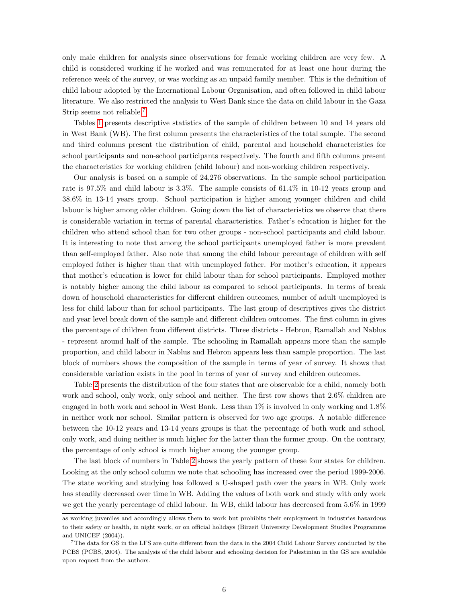only male children for analysis since observations for female working children are very few. A child is considered working if he worked and was remunerated for at least one hour during the reference week of the survey, or was working as an unpaid family member. This is the definition of child labour adopted by the International Labour Organisation, and often followed in child labour literature. We also restricted the analysis to West Bank since the data on child labour in the Gaza Strip seems not reliable.[7](#page-5-0)

Tables [1](#page-6-0) presents descriptive statistics of the sample of children between 10 and 14 years old in West Bank (WB). The first column presents the characteristics of the total sample. The second and third columns present the distribution of child, parental and household characteristics for school participants and non-school participants respectively. The fourth and fifth columns present the characteristics for working children (child labour) and non-working children respectively.

Our analysis is based on a sample of 24,276 observations. In the sample school participation rate is 97.5% and child labour is 3.3%. The sample consists of 61.4% in 10-12 years group and 38.6% in 13-14 years group. School participation is higher among younger children and child labour is higher among older children. Going down the list of characteristics we observe that there is considerable variation in terms of parental characteristics. Father's education is higher for the children who attend school than for two other groups - non-school participants and child labour. It is interesting to note that among the school participants unemployed father is more prevalent than self-employed father. Also note that among the child labour percentage of children with self employed father is higher than that with unemployed father. For mother's education, it appears that mother's education is lower for child labour than for school participants. Employed mother is notably higher among the child labour as compared to school participants. In terms of break down of household characteristics for different children outcomes, number of adult unemployed is less for child labour than for school participants. The last group of descriptives gives the district and year level break down of the sample and different children outcomes. The first column in gives the percentage of children from different districts. Three districts - Hebron, Ramallah and Nablus - represent around half of the sample. The schooling in Ramallah appears more than the sample proportion, and child labour in Nablus and Hebron appears less than sample proportion. The last block of numbers shows the composition of the sample in terms of year of survey. It shows that considerable variation exists in the pool in terms of year of survey and children outcomes.

Table [2](#page-7-1) presents the distribution of the four states that are observable for a child, namely both work and school, only work, only school and neither. The first row shows that 2.6% children are engaged in both work and school in West Bank. Less than 1% is involved in only working and 1.8% in neither work nor school. Similar pattern is observed for two age groups. A notable difference between the 10-12 years and 13-14 years groups is that the percentage of both work and school, only work, and doing neither is much higher for the latter than the former group. On the contrary, the percentage of only school is much higher among the younger group.

The last block of numbers in Table [2](#page-7-1) shows the yearly pattern of these four states for children. Looking at the only school column we note that schooling has increased over the period 1999-2006. The state working and studying has followed a U-shaped path over the years in WB. Only work has steadily decreased over time in WB. Adding the values of both work and study with only work we get the yearly percentage of child labour. In WB, child labour has decreased from 5.6% in 1999

as working juveniles and accordingly allows them to work but prohibits their employment in industries hazardous to their safety or health, in night work, or on official holidays (Birzeit University Development Studies Programme and UNICEF (2004)).

<span id="page-5-0"></span><sup>7</sup>The data for GS in the LFS are quite different from the data in the 2004 Child Labour Survey conducted by the PCBS (PCBS, 2004). The analysis of the child labour and schooling decision for Palestinian in the GS are available upon request from the authors.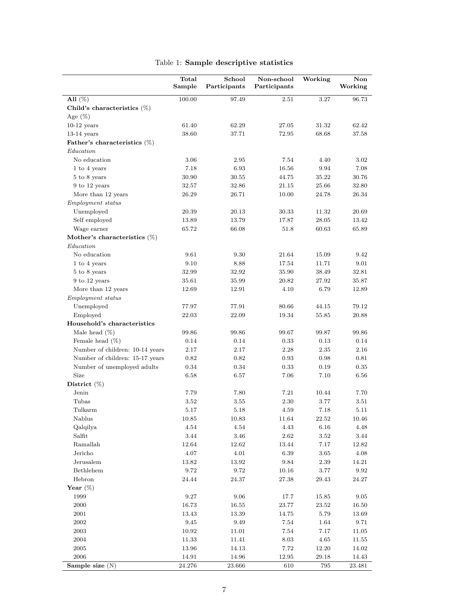|                                 | Total<br>Sample | School<br>Participants | Non-school<br>Participants | Working | Non<br>Working |
|---------------------------------|-----------------|------------------------|----------------------------|---------|----------------|
| All $(\%)$                      | 100.00          | 97.49                  | 2.51                       | 3.27    | $96.73\,$      |
| Child's characteristics $(\%)$  |                 |                        |                            |         |                |
| Age $(\%)$                      |                 |                        |                            |         |                |
| $10-12$ years                   | 61.40           | 62.29                  | 27.05                      | 31.32   | 62.42          |
| $13-14$ years                   | 38.60           | 37.71                  | 72.95                      | 68.68   | 37.58          |
| Father's characteristics $(\%)$ |                 |                        |                            |         |                |
| Education                       |                 |                        |                            |         |                |
| No education                    | 3.06            | 2.95                   | 7.54                       | 4.40    | 3.02           |
| 1 to 4 years                    | 7.18            | 6.93                   | 16.56                      | 9.94    | 7.08           |
| 5 to 8 years                    | 30.90           | 30.55                  | 44.75                      | 35.22   | 30.76          |
| 9 to 12 years                   | 32.57           | 32.86                  | 21.15                      | 25.66   | 32.80          |
| More than 12 years              | 26.29           | 26.71                  | 10.00                      | 24.78   | 26.34          |
| Employment status               |                 |                        |                            |         |                |
| Unemployed                      | 20.39           | 20.13                  | 30.33                      | 11.32   | 20.69          |
| Self employed                   | 13.89           | 13.79                  | 17.87                      | 28.05   | 13.42          |
| Wage earner                     | 65.72           | 66.08                  | 51.8                       | 60.63   | 65.89          |
| Mother's characteristics $(\%)$ |                 |                        |                            |         |                |
| Education                       |                 |                        |                            |         |                |
| No education                    | 9.61            | 9.30                   | 21.64                      | 15.09   | 9.42           |
| 1 to 4 years                    | 9.10            | 8.88                   | 17.54                      | 11.71   | 9.01           |
| 5 to 8 years                    | 32.99           | 32.92                  | 35.90                      | 38.49   | 32.81          |
| 9 to 12 years                   | 35.61           | 35.99                  | 20.82                      | 27.92   | 35.87          |
| More than 12 years              | 12.69           | 12.91                  | 4.10                       | 6.79    | 12.89          |
| <i>Employment status</i>        |                 |                        |                            |         |                |
| Unemployed                      | 77.97           | 77.91                  | 80.66                      | 44.15   | 79.12          |
| Employed                        | 22.03           | 22.09                  | 19.34                      | 55.85   | 20.88          |
| Household's characteristics     |                 |                        |                            |         |                |
| Male head $(\%)$                | 99.86           | 99.86                  | 99.67                      | 99.87   | 99.86          |
| Female head $(\%)$              | 0.14            | 0.14                   | 0.33                       | 0.13    | 0.14           |
| Number of children: 10-14 years | 2.17            | 2.17                   | 2.28                       | 2.35    | 2.16           |
| Number of children: 15-17 years | 0.82            | 0.82                   | 0.93                       | 0.98    | 0.81           |
| Number of unemployed adults     | 0.34            | 0.34                   | 0.33                       | 0.19    | $\rm 0.35$     |
| Size                            | 6.58            | 6.57                   | 7.06                       | 7.10    | 6.56           |
| District $(\%)$                 |                 |                        |                            |         |                |
| Jenin                           | 7.79            | 7.80                   | 7.21                       | 10.44   | 7.70           |
| Tubas                           | 3.52            | 3.55                   | 2.30                       | 3.77    | 3.51           |
| Tulkarm                         | 5.17            | 5.18                   | 4.59                       | 7.18    | 5.11           |
| Nablus                          | 10.85           | 10.83                  | 11.64                      | 22.52   | 10.46          |
| Qalqilya                        | 4.54            | 4.54                   | 4.43                       | 6.16    | 4.48           |
| Salfit                          | 3.44            | $3.46\,$               | 2.62                       | 3.52    | $3.44\,$       |
| Ramallah                        | 12.64           | 12.62                  | 13.44                      | 7.17    | 12.82          |
| Jericho                         | 4.07            | 4.01                   | 6.39                       | 3.65    | 4.08           |
| Jerusalem                       | 13.82           | 13.92                  | 9.84                       | 2.39    | 14.21          |
| Bethlehem                       | 9.72            | 9.72                   | 10.16                      | 3.77    | 9.92           |
| Hebron                          | 24.44           | 24.37                  | 27.38                      | 29.43   | 24.27          |
| Year $(\%)$                     |                 |                        |                            |         |                |
| 1999                            | 9.27            | 9.06                   | 17.7                       | 15.85   | 9.05           |
| 2000                            | 16.73           | 16.55                  | 23.77                      | 23.52   | 16.50          |
| 2001                            | 13.43           | 13.39                  | 14.75                      | 5.79    | 13.69          |
| $\,2002\,$                      | 9.45            | $9.49\,$               | 7.54                       | 1.64    | 9.71           |
| 2003                            | 10.92           | 11.01                  | 7.54                       | 7.17    | 11.05          |
| 2004                            | 11.33           | 11.41                  | 8.03                       | 4.65    | 11.55          |
| 2005                            | 13.96           | 14.13                  | 7.72                       | 12.20   | 14.02          |
| $\,2006$                        | 14.91           | 14.96                  | 12.95                      | 29.18   | 14.43          |
| Sample size (N)                 | 24.276          | 23.666                 | 610                        | 795     | 23.481         |

#### <span id="page-6-0"></span>Table 1: Sample descriptive statistics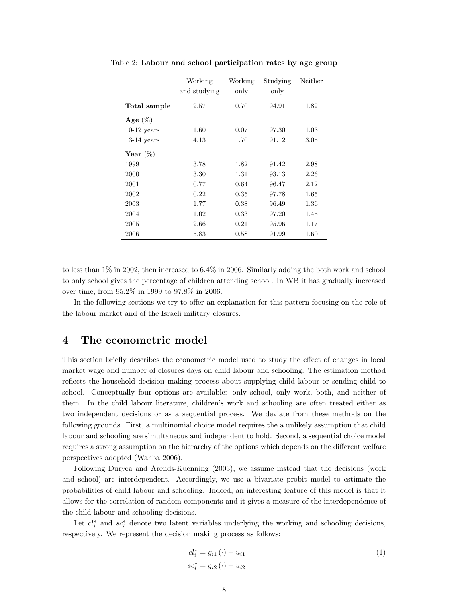<span id="page-7-1"></span>

|               | Working      | Working | Studying | Neither |
|---------------|--------------|---------|----------|---------|
|               | and studying | only    | only     |         |
| Total sample  | 2.57         | 0.70    | 94.91    | 1.82    |
| Age $(\%)$    |              |         |          |         |
| $10-12$ years | 1.60         | 0.07    | 97.30    | 1.03    |
| $13-14$ years | 4.13         | 1.70    | 91.12    | 3.05    |
| Year $(\%)$   |              |         |          |         |
| 1999          | 3.78         | 1.82    | 91.42    | 2.98    |
| 2000          | 3.30         | 1.31    | 93.13    | 2.26    |
| 2001          | 0.77         | 0.64    | 96.47    | 2.12    |
| 2002          | 0.22         | 0.35    | 97.78    | 1.65    |
| 2003          | 1.77         | 0.38    | 96.49    | 1.36    |
| 2004          | 1.02         | 0.33    | 97.20    | 1.45    |
| 2005          | 2.66         | 0.21    | 95.96    | 1.17    |
| 2006          | 5.83         | 0.58    | 91.99    | 1.60    |

Table 2: Labour and school participation rates by age group

to less than 1% in 2002, then increased to 6.4% in 2006. Similarly adding the both work and school to only school gives the percentage of children attending school. In WB it has gradually increased over time, from 95.2% in 1999 to 97.8% in 2006.

In the following sections we try to offer an explanation for this pattern focusing on the role of the labour market and of the Israeli military closures.

### <span id="page-7-0"></span>4 The econometric model

This section briefly describes the econometric model used to study the effect of changes in local market wage and number of closures days on child labour and schooling. The estimation method reflects the household decision making process about supplying child labour or sending child to school. Conceptually four options are available: only school, only work, both, and neither of them. In the child labour literature, children's work and schooling are often treated either as two independent decisions or as a sequential process. We deviate from these methods on the following grounds. First, a multinomial choice model requires the a unlikely assumption that child labour and schooling are simultaneous and independent to hold. Second, a sequential choice model requires a strong assumption on the hierarchy of the options which depends on the different welfare perspectives adopted (Wahba 2006).

Following Duryea and Arends-Kuenning (2003), we assume instead that the decisions (work and school) are interdependent. Accordingly, we use a bivariate probit model to estimate the probabilities of child labour and schooling. Indeed, an interesting feature of this model is that it allows for the correlation of random components and it gives a measure of the interdependence of the child labour and schooling decisions.

Let  $cl_i^*$  and  $sc_i^*$  denote two latent variables underlying the working and schooling decisions, respectively. We represent the decision making process as follows:

$$
cl_i^* = g_{i1} (\cdot) + u_{i1}
$$
  
\n
$$
sc_i^* = g_{i2} (\cdot) + u_{i2}
$$
\n(1)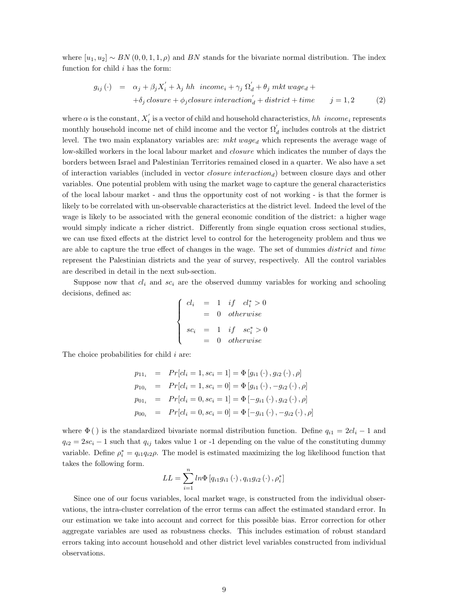where  $[u_1, u_2] \sim BN(0, 0, 1, 1, \rho)$  and BN stands for the bivariate normal distribution. The index function for child  $i$  has the form:

<span id="page-8-0"></span>
$$
g_{ij}(\cdot) = \alpha_j + \beta_j X_i^{'} + \lambda_j h h \text{ income}_{i} + \gamma_j \Omega_d^{'} + \theta_j m k t \text{ wage}_{d} +
$$
  
+
$$
\delta_j \text{ closure} + \phi_j \text{closure interaction}_d^{'} + \text{district} + \text{time} \qquad j = 1, 2
$$
 (2)

where  $\alpha$  is the constant,  $X_i'$  is a vector of child and household characteristics, hh income<sub>i</sub> represents monthly household income net of child income and the vector  $\Omega'_{d}$  includes controls at the district level. The two main explanatory variables are:  $mkt$  wage<sub>d</sub> which represents the average wage of low-skilled workers in the local labour market and *closure* which indicates the number of days the borders between Israel and Palestinian Territories remained closed in a quarter. We also have a set of interaction variables (included in vector *closure interaction<sub>d</sub>*) between closure days and other variables. One potential problem with using the market wage to capture the general characteristics of the local labour market - and thus the opportunity cost of not working - is that the former is likely to be correlated with un-observable characteristics at the district level. Indeed the level of the wage is likely to be associated with the general economic condition of the district: a higher wage would simply indicate a richer district. Differently from single equation cross sectional studies, we can use fixed effects at the district level to control for the heterogeneity problem and thus we are able to capture the true effect of changes in the wage. The set of dummies *district* and time represent the Palestinian districts and the year of survey, respectively. All the control variables are described in detail in the next sub-section.

Suppose now that  $cl_i$  and  $sc_i$  are the observed dummy variables for working and schooling decisions, defined as:

$$
\begin{cases}\ncl_i &= 1 & if & cl_i^* > 0 \\
& = 0 & otherwise\n\end{cases}
$$
\n
$$
sc_i &= 1 & if & sc_i^* > 0\n\end{cases}
$$
\n
$$
= 0 & otherwise
$$

The choice probabilities for child  $i$  are:

$$
p_{11_i} = Pr[cl_i = 1, sc_i = 1] = \Phi[g_{i1}(.), g_{i2}(.), \rho]
$$
  
\n
$$
p_{10_i} = Pr[cl_i = 1, sc_i = 0] = \Phi[g_{i1}(.), -g_{i2}(.), \rho]
$$
  
\n
$$
p_{01_i} = Pr[cl_i = 0, sc_i = 1] = \Phi[-g_{i1}(.), g_{i2}(.), \rho]
$$
  
\n
$$
p_{00_i} = Pr[cl_i = 0, sc_i = 0] = \Phi[-g_{i1}(.), -g_{i2}(.), \rho]
$$

where  $\Phi$  () is the standardized bivariate normal distribution function. Define  $q_{i1} = 2cl_i - 1$  and  $q_{i2} = 2sc_i - 1$  such that  $q_{ij}$  takes value 1 or -1 depending on the value of the constituting dummy variable. Define  $\rho_i^* = q_{i1}q_{i2}\rho$ . The model is estimated maximizing the log likelihood function that takes the following form.

$$
LL = \sum_{i=1}^{n} ln \Phi [q_{i1}g_{i1} (\cdot), q_{i1}g_{i2} (\cdot), \rho_{i}^{*}]
$$

Since one of our focus variables, local market wage, is constructed from the individual observations, the intra-cluster correlation of the error terms can affect the estimated standard error. In our estimation we take into account and correct for this possible bias. Error correction for other aggregate variables are used as robustness checks. This includes estimation of robust standard errors taking into account household and other district level variables constructed from individual observations.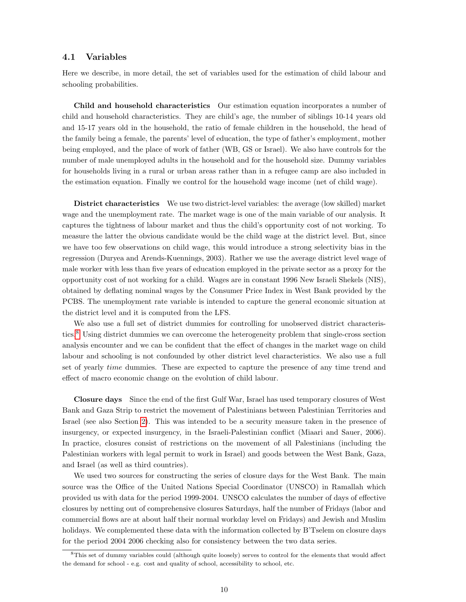#### 4.1 Variables

Here we describe, in more detail, the set of variables used for the estimation of child labour and schooling probabilities.

Child and household characteristics Our estimation equation incorporates a number of child and household characteristics. They are child's age, the number of siblings 10-14 years old and 15-17 years old in the household, the ratio of female children in the household, the head of the family being a female, the parents' level of education, the type of father's employment, mother being employed, and the place of work of father (WB, GS or Israel). We also have controls for the number of male unemployed adults in the household and for the household size. Dummy variables for households living in a rural or urban areas rather than in a refugee camp are also included in the estimation equation. Finally we control for the household wage income (net of child wage).

District characteristics We use two district-level variables: the average (low skilled) market wage and the unemployment rate. The market wage is one of the main variable of our analysis. It captures the tightness of labour market and thus the child's opportunity cost of not working. To measure the latter the obvious candidate would be the child wage at the district level. But, since we have too few observations on child wage, this would introduce a strong selectivity bias in the regression (Duryea and Arends-Kuennings, 2003). Rather we use the average district level wage of male worker with less than five years of education employed in the private sector as a proxy for the opportunity cost of not working for a child. Wages are in constant 1996 New Israeli Shekels (NIS), obtained by deflating nominal wages by the Consumer Price Index in West Bank provided by the PCBS. The unemployment rate variable is intended to capture the general economic situation at the district level and it is computed from the LFS.

We also use a full set of district dummies for controlling for unobserved district characteristics.[8](#page-9-0) Using district dummies we can overcome the heterogeneity problem that single-cross section analysis encounter and we can be confident that the effect of changes in the market wage on child labour and schooling is not confounded by other district level characteristics. We also use a full set of yearly time dummies. These are expected to capture the presence of any time trend and effect of macro economic change on the evolution of child labour.

Closure days Since the end of the first Gulf War, Israel has used temporary closures of West Bank and Gaza Strip to restrict the movement of Palestinians between Palestinian Territories and Israel (see also Section [2\)](#page-3-2). This was intended to be a security measure taken in the presence of insurgency, or expected insurgency, in the Israeli-Palestinian conflict (Miaari and Sauer, 2006). In practice, closures consist of restrictions on the movement of all Palestinians (including the Palestinian workers with legal permit to work in Israel) and goods between the West Bank, Gaza, and Israel (as well as third countries).

We used two sources for constructing the series of closure days for the West Bank. The main source was the Office of the United Nations Special Coordinator (UNSCO) in Ramallah which provided us with data for the period 1999-2004. UNSCO calculates the number of days of effective closures by netting out of comprehensive closures Saturdays, half the number of Fridays (labor and commercial flows are at about half their normal workday level on Fridays) and Jewish and Muslim holidays. We complemented these data with the information collected by B'Tselem on closure days for the period 2004 2006 checking also for consistency between the two data series.

<span id="page-9-0"></span><sup>8</sup>This set of dummy variables could (although quite loosely) serves to control for the elements that would affect the demand for school - e.g. cost and quality of school, accessibility to school, etc.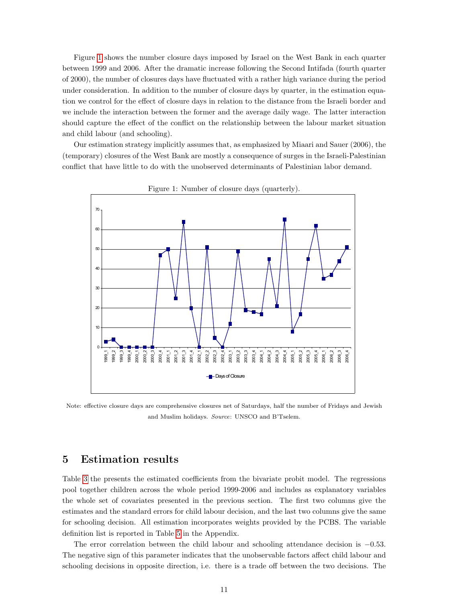Figure [1](#page-10-1) shows the number closure days imposed by Israel on the West Bank in each quarter between 1999 and 2006. After the dramatic increase following the Second Intifada (fourth quarter of 2000), the number of closures days have fluctuated with a rather high variance during the period under consideration. In addition to the number of closure days by quarter, in the estimation equation we control for the effect of closure days in relation to the distance from the Israeli border and we include the interaction between the former and the average daily wage. The latter interaction should capture the effect of the conflict on the relationship between the labour market situation and child labour (and schooling).

Our estimation strategy implicitly assumes that, as emphasized by Miaari and Sauer (2006), the (temporary) closures of the West Bank are mostly a consequence of surges in the Israeli-Palestinian conflict that have little to do with the unobserved determinants of Palestinian labor demand.



<span id="page-10-1"></span>

Note: effective closure days are comprehensive closures net of Saturdays, half the number of Fridays and Jewish and Muslim holidays. Source: UNSCO and B'Tselem.

## <span id="page-10-0"></span>5 Estimation results

Table [3](#page-12-0) the presents the estimated coefficients from the bivariate probit model. The regressions pool together children across the whole period 1999-2006 and includes as explanatory variables the whole set of covariates presented in the previous section. The first two columns give the estimates and the standard errors for child labour decision, and the last two columns give the same for schooling decision. All estimation incorporates weights provided by the PCBS. The variable definition list is reported in Table [5](#page-20-0) in the Appendix.

The error correlation between the child labour and schooling attendance decision is −0.53. The negative sign of this parameter indicates that the unobservable factors affect child labour and schooling decisions in opposite direction, i.e. there is a trade off between the two decisions. The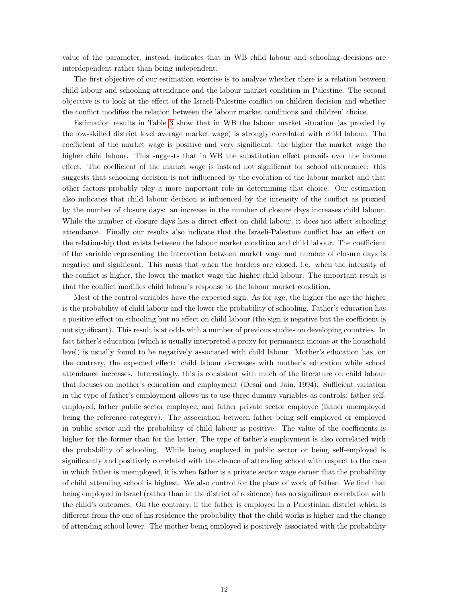value of the parameter, instead, indicates that in WB child labour and schooling decisions are interdependent rather than being independent.

The first objective of our estimation exercise is to analyze whether there is a relation between child labour and schooling attendance and the labour market condition in Palestine. The second objective is to look at the effect of the Israeli-Palestine conflict on children decision and whether the conflict modifies the relation between the labour market conditions and children' choice.

Estimation results in Table [3](#page-12-0) show that in WB the labour market situation (as proxied by the low-skilled district level average market wage) is strongly correlated with child labour. The coefficient of the market wage is positive and very significant: the higher the market wage the higher child labour. This suggests that in WB the substitution effect prevails over the income effect. The coefficient of the market wage is instead not significant for school attendance: this suggests that schooling decision is not influenced by the evolution of the labour market and that other factors probably play a more important role in determining that choice. Our estimation also indicates that child labour decision is influenced by the intensity of the conflict as proxied by the number of closure days: an increase in the number of closure days increases child labour. While the number of closure days has a direct effect on child labour, it does not affect schooling attendance. Finally our results also indicate that the Israeli-Palestine conflict has an effect on the relationship that exists between the labour market condition and child labour. The coefficient of the variable representing the interaction between market wage and number of closure days is negative and significant. This meas that when the borders are closed, i.e. when the intensity of the conflict is higher, the lower the market wage the higher child labour. The important result is that the conflict modifies child labour's response to the labour market condition.

Most of the control variables have the expected sign. As for age, the higher the age the higher is the probability of child labour and the lower the probability of schooling. Father's education has a positive effect on schooling but no effect on child labour (the sign is negative but the coefficient is not significant). This result is at odds with a number of previous studies on developing countries. In fact father's education (which is usually interpreted a proxy for permanent income at the household level) is usually found to be negatively associated with child labour. Mother's education has, on the contrary, the expected effect: child labour decreases with mother's education while school attendance increases. Interestingly, this is consistent with much of the literature on child labour that focuses on mother's education and employment (Desai and Jain, 1994). Sufficient variation in the type of father's employment allows us to use three dummy variables as controls: father selfemployed, father public sector employee, and father private sector employee (father unemployed being the reference category). The association between father being self employed or employed in public sector and the probability of child labour is positive. The value of the coefficients is higher for the former than for the latter. The type of father's employment is also correlated with the probability of schooling. While being employed in public sector or being self-employed is significantly and positively correlated with the chance of attending school with respect to the case in which father is unemployed, it is when father is a private sector wage earner that the probability of child attending school is highest. We also control for the place of work of father. We find that being employed in Israel (rather than in the district of residence) has no significant correlation with the child's outcomes. On the contrary, if the father is employed in a Palestinian district which is different from the one of his residence the probability that the child works is higher and the change of attending school lower. The mother being employed is positively associated with the probability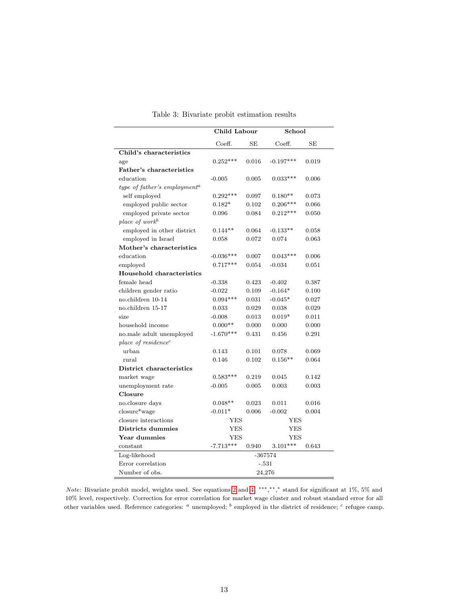|                                          | Child Labour             |           | School      |           |
|------------------------------------------|--------------------------|-----------|-------------|-----------|
|                                          | Coeff.                   | <b>SE</b> | Coeff.      | <b>SE</b> |
| Child's characteristics                  |                          |           |             |           |
| age                                      | $0.252***$               | 0.016     | $-0.197***$ | 0.019     |
| Father's characteristics                 |                          |           |             |           |
| education                                | $-0.005$                 | 0.005     | $0.033***$  | 0.006     |
| type of father's employment <sup>a</sup> |                          |           |             |           |
| self employed                            | $0.292***$               | 0.097     | $0.180**$   | 0.073     |
| employed public sector                   | $0.182*$                 | 0.102     | $0.206***$  | 0.066     |
| employed private sector                  | 0.096                    | 0.084     | $0.212***$  | 0.050     |
| place of work <sup>b</sup>               |                          |           |             |           |
| employed in other district               | $0.144**$                | 0.064     | $-0.133**$  | 0.058     |
| employed in Israel                       | 0.058                    | 0.072     | 0.074       | 0.063     |
| Mother's characteristics                 |                          |           |             |           |
| education                                | $-0.036***$              | 0.007     | $0.043***$  | 0.006     |
| employed                                 | $0.717***$               | 0.054     | $-0.034$    | 0.051     |
| Household characteristics                |                          |           |             |           |
| female head                              | $-0.338$                 | 0.423     | $-0.402$    | 0.387     |
| children gender ratio                    | $-0.022$                 | 0.109     | $-0.164*$   | 0.100     |
| no.children 10-14                        | $0.094***$               | 0.031     | $-0.045*$   | 0.027     |
| no.children 15-17                        | 0.033                    | 0.029     | 0.038       | 0.029     |
| size                                     | $-0.008$                 | 0.013     | $0.019*$    | 0.011     |
| household income                         | $0.000**$                | 0.000     | 0.000       | 0.000     |
| no.male adult unemployed                 | $-1.670***$              | 0.431     | 0.456       | 0.291     |
| place of $residence^c$                   |                          |           |             |           |
| urban                                    | 0.143                    | 0.101     | 0.078       | 0.069     |
| rural                                    | 0.146                    | 0.102     | $0.156**$   | 0.064     |
| District characteristics                 |                          |           |             |           |
| market wage                              | $0.583***$               | 0.219     | 0.045       | 0.142     |
| unemployment rate                        | $-0.005$                 | 0.005     | 0.003       | 0.003     |
| Closure                                  |                          |           |             |           |
| no.closure days                          | $0.048**$                | 0.023     | 0.011       | 0.016     |
| closure*wage                             | $-0.011*$                | 0.006     | $-0.002$    | 0.004     |
| closure interactions                     | <b>YES</b><br><b>YES</b> |           |             |           |
| Districts dummies                        | <b>YES</b><br>YES        |           |             |           |
| Year dummies                             | <b>YES</b><br>YES        |           |             |           |
| constant                                 | $-7.713***$              | 0.940     | $3.101***$  | 0.643     |
| Log-likehood                             | $-367574$                |           |             |           |
| Error correlation                        | $-.531$                  |           |             |           |
| Number of obs.                           |                          |           | 24,276      |           |

<span id="page-12-0"></span>Table 3: Bivariate probit estimation results

Note: Bivariate probit model, weights used. See equations [2](#page-8-0) and [4.](#page-8-0) ∗∗∗, ∗∗, <sup>∗</sup> stand for significant at 1%, 5% and 10% level, respectively. Correction for error correlation for market wage cluster and robust standard error for all other variables used. Reference categories:  $a$  unemployed;  $b$  employed in the district of residence;  $c$  refugee camp.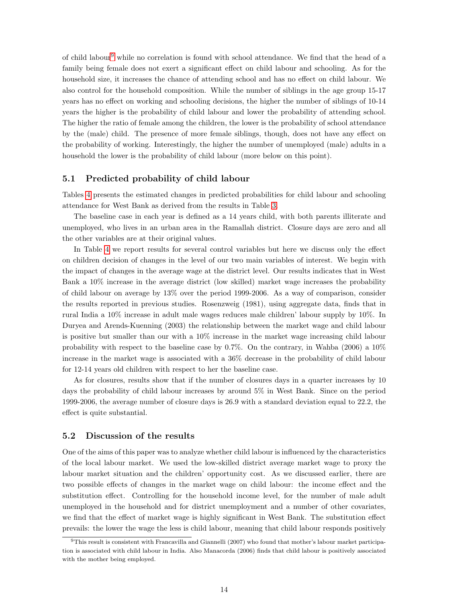of child labour<sup>[9](#page-13-0)</sup> while no correlation is found with school attendance. We find that the head of a family being female does not exert a significant effect on child labour and schooling. As for the household size, it increases the chance of attending school and has no effect on child labour. We also control for the household composition. While the number of siblings in the age group 15-17 years has no effect on working and schooling decisions, the higher the number of siblings of 10-14 years the higher is the probability of child labour and lower the probability of attending school. The higher the ratio of female among the children, the lower is the probability of school attendance by the (male) child. The presence of more female siblings, though, does not have any effect on the probability of working. Interestingly, the higher the number of unemployed (male) adults in a household the lower is the probability of child labour (more below on this point).

#### 5.1 Predicted probability of child labour

Tables [4](#page-14-0) presents the estimated changes in predicted probabilities for child labour and schooling attendance for West Bank as derived from the results in Table [3.](#page-12-0)

The baseline case in each year is defined as a 14 years child, with both parents illiterate and unemployed, who lives in an urban area in the Ramallah district. Closure days are zero and all the other variables are at their original values.

In Table [4](#page-14-0) we report results for several control variables but here we discuss only the effect on children decision of changes in the level of our two main variables of interest. We begin with the impact of changes in the average wage at the district level. Our results indicates that in West Bank a 10% increase in the average district (low skilled) market wage increases the probability of child labour on average by 13% over the period 1999-2006. As a way of comparison, consider the results reported in previous studies. Rosenzweig (1981), using aggregate data, finds that in rural India a 10% increase in adult male wages reduces male children' labour supply by 10%. In Duryea and Arends-Kuenning (2003) the relationship between the market wage and child labour is positive but smaller than our with a 10% increase in the market wage increasing child labour probability with respect to the baseline case by 0.7%. On the contrary, in Wahba (2006) a 10% increase in the market wage is associated with a 36% decrease in the probability of child labour for 12-14 years old children with respect to her the baseline case.

As for closures, results show that if the number of closures days in a quarter increases by 10 days the probability of child labour increases by around 5% in West Bank. Since on the period 1999-2006, the average number of closure days is 26.9 with a standard deviation equal to 22.2, the effect is quite substantial.

#### 5.2 Discussion of the results

One of the aims of this paper was to analyze whether child labour is influenced by the characteristics of the local labour market. We used the low-skilled district average market wage to proxy the labour market situation and the children' opportunity cost. As we discussed earlier, there are two possible effects of changes in the market wage on child labour: the income effect and the substitution effect. Controlling for the household income level, for the number of male adult unemployed in the household and for district unemployment and a number of other covariates, we find that the effect of market wage is highly significant in West Bank. The substitution effect prevails: the lower the wage the less is child labour, meaning that child labour responds positively

<span id="page-13-0"></span><sup>9</sup>This result is consistent with Francavilla and Giannelli (2007) who found that mother's labour market participation is associated with child labour in India. Also Manacorda (2006) finds that child labour is positively associated with the mother being employed.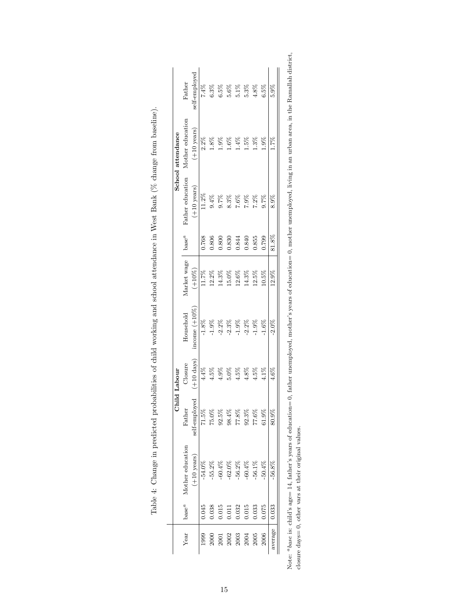|         |          |                       |               | Child Labour         |                  |             |          |                          | School attendance    |               |
|---------|----------|-----------------------|---------------|----------------------|------------------|-------------|----------|--------------------------|----------------------|---------------|
| Year    | $base^a$ | Mother education      | Father        | Closure              | Household        | Market wage | $base^a$ | Father education         | Mother education     | Father        |
|         |          | $(+10 \text{ years})$ | self-employed | $(+10 \text{ days})$ | income $(+10\%)$ | $(+10\%)$   |          | $(+10 \ \mathrm{years})$ | $(+10 \ \rm{years})$ | self-employed |
| 1999    | 0.045    | $-54.0%$              | $71.5\%$      | $4.4\%$              | $-1.8\%$         | 11.7%       | 0.768    | $11.2\%$                 | $2.2\%$              | 7.4%          |
| 2000    | 0.038    | $-55.2\%$             | 75.0%         | 4.5%                 | $-1.9%$          | 12.2%       | 0.806    | 9.4%                     | 1.8%                 | $6.3\%$       |
| 2001    | 0.015    | $-60.4%$              | 92.5%         | 4.9%                 | $-2.2\%$         | 14.3%       | 0.800    | 9.7%                     | 1.9%                 | 6.5%          |
| 2002    | 0.011    | $-62.0%$              | $98.4\%$      | $5.0\%$              | $-2.3\%$         | 15.0%       | 0.830    | 8.3%                     | $1.6\%$              | 5.6%          |
| 2003    | 0.032    | $-56.2%$              | 77.8%         | 4.5%                 | $1.9\%$          | 12.6%       | 0.844    | $7.6\%$                  | $1.4\%$              | $5.1\%$       |
| 2004    | 0.015    | $-60.4%$              | $92.3\%$      | 4.8%                 | $-2.2\%$         | 14.3%       | 0.840    | $7.9\%$                  | .5%                  | 5.3%          |
| 2005    | 0.033    | $-56.1\%$             | $77.6\%$      | 4.5%                 | $-1.9%$          | 12.5%       | 0.855    | $7.2\%$                  | $1.3\%$              | 4.8%          |
| 2006    | 0.075    | $-50.4\%$             | 61.9%         | $11\%$               | $-1.6%$          | $0.5\%$     | 0.799    | 9.7%                     | $-9\%$               | 6.5%          |
| average | 0.033    | $-56.8\%$             | 80.9%         | 4.6%                 | $-2.0\%$         | 12.9%       | 81.8%    | 8.9%                     | 1.7%                 | 5.9%          |
|         |          |                       |               |                      |                  |             |          |                          |                      |               |

<span id="page-14-0"></span>

| しょうしゅう しょうしょう                                                                                                                                                                                                                  |
|--------------------------------------------------------------------------------------------------------------------------------------------------------------------------------------------------------------------------------|
|                                                                                                                                                                                                                                |
|                                                                                                                                                                                                                                |
| is a second to the contract of the contract of the contract of the contract of the contract of the contract of the contract of the contract of the contract of the contract of the contract of the contract of the contract of |
| l                                                                                                                                                                                                                              |
| ו<br> <br>                                                                                                                                                                                                                     |
|                                                                                                                                                                                                                                |
| l                                                                                                                                                                                                                              |
|                                                                                                                                                                                                                                |
| ł                                                                                                                                                                                                                              |
| i                                                                                                                                                                                                                              |
| $\overline{\phantom{a}}$<br>֖֖֖֖֖ׅ֖ׅ֖֧ׅ֖֧ׅ֖ׅ֪֪ׅ֖֧ׅ֧ׅ֖֧֪ׅ֖֧֪֪֪֪֪ׅ֧֪ׅ֧֪ׅ֧֪ׅ֧֪ׅ֧֚֚֚֚֚֚֚֚֚֚֚֚֚֚֚֚֚֚֚֚֚֚֚֚֚֚֚֚֚֚֚֚֚֚֬֝֝֝֬֝֬֝֝<br>i<br>ׅ֘֒<br>i                                                                                      |
| September 2014                                                                                                                                                                                                                 |
|                                                                                                                                                                                                                                |
|                                                                                                                                                                                                                                |
|                                                                                                                                                                                                                                |
| l                                                                                                                                                                                                                              |
| j<br>í<br>۱                                                                                                                                                                                                                    |
| i<br>l<br>.<br>.<br>.                                                                                                                                                                                                          |
| ĺ<br>١<br>i<br>י<br> <br> <br>j                                                                                                                                                                                                |
| i                                                                                                                                                                                                                              |
| l<br>į<br>j<br>l                                                                                                                                                                                                               |

Note: <sup>a</sup>base is: child's age= 14, father's years of education= 0, father unemployed, mother's years of education= 0, mother unemployed, living in an urban area, in the Ramallah district,<br>closure days= 0, other vars at the  $a_{base}$  is: child's age= 14, father's years of education= 0, father unemployed, mother's years of education= 0, mother unemployed, living in an urban area, in the Ramallah district, closure days= 0, other vars at their original values.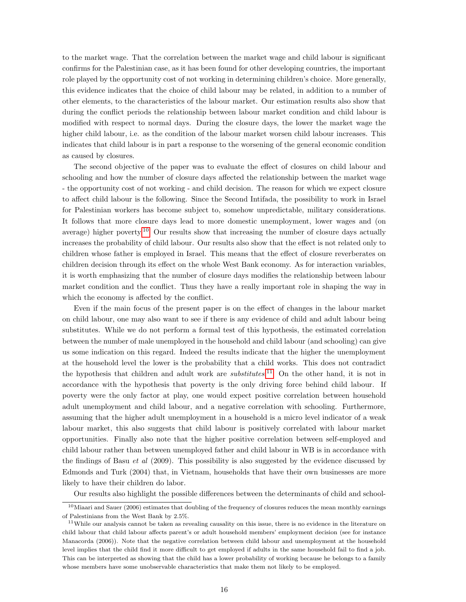to the market wage. That the correlation between the market wage and child labour is significant confirms for the Palestinian case, as it has been found for other developing countries, the important role played by the opportunity cost of not working in determining children's choice. More generally, this evidence indicates that the choice of child labour may be related, in addition to a number of other elements, to the characteristics of the labour market. Our estimation results also show that during the conflict periods the relationship between labour market condition and child labour is modified with respect to normal days. During the closure days, the lower the market wage the higher child labour, i.e. as the condition of the labour market worsen child labour increases. This indicates that child labour is in part a response to the worsening of the general economic condition as caused by closures.

The second objective of the paper was to evaluate the effect of closures on child labour and schooling and how the number of closure days affected the relationship between the market wage - the opportunity cost of not working - and child decision. The reason for which we expect closure to affect child labour is the following. Since the Second Intifada, the possibility to work in Israel for Palestinian workers has become subject to, somehow unpredictable, military considerations. It follows that more closure days lead to more domestic unemployment, lower wages and (on average) higher poverty.<sup>[10](#page-15-0)</sup> Our results show that increasing the number of closure days actually increases the probability of child labour. Our results also show that the effect is not related only to children whose father is employed in Israel. This means that the effect of closure reverberates on children decision through its effect on the whole West Bank economy. As for interaction variables, it is worth emphasizing that the number of closure days modifies the relationship between labour market condition and the conflict. Thus they have a really important role in shaping the way in which the economy is affected by the conflict.

Even if the main focus of the present paper is on the effect of changes in the labour market on child labour, one may also want to see if there is any evidence of child and adult labour being substitutes. While we do not perform a formal test of this hypothesis, the estimated correlation between the number of male unemployed in the household and child labour (and schooling) can give us some indication on this regard. Indeed the results indicate that the higher the unemployment at the household level the lower is the probability that a child works. This does not contradict the hypothesis that children and adult work are *substitutes*.<sup>[11](#page-15-1)</sup> On the other hand, it is not in accordance with the hypothesis that poverty is the only driving force behind child labour. If poverty were the only factor at play, one would expect positive correlation between household adult unemployment and child labour, and a negative correlation with schooling. Furthermore, assuming that the higher adult unemployment in a household is a micro level indicator of a weak labour market, this also suggests that child labour is positively correlated with labour market opportunities. Finally also note that the higher positive correlation between self-employed and child labour rather than between unemployed father and child labour in WB is in accordance with the findings of Basu et al (2009). This possibility is also suggested by the evidence discussed by Edmonds and Turk (2004) that, in Vietnam, households that have their own businesses are more likely to have their children do labor.

<span id="page-15-0"></span>Our results also highlight the possible differences between the determinants of child and school-

 $10$ Miaari and Sauer (2006) estimates that doubling of the frequency of closures reduces the mean monthly earnings of Palestinians from the West Bank by 2.5%.

<span id="page-15-1"></span> $11$ While our analysis cannot be taken as revealing causality on this issue, there is no evidence in the literature on child labour that child labour affects parent's or adult household members' employment decision (see for instance Manacorda (2006)). Note that the negative correlation between child labour and unemployment at the household level implies that the child find it more difficult to get employed if adults in the same household fail to find a job. This can be interpreted as showing that the child has a lower probability of working because he belongs to a family whose members have some unobservable characteristics that make them not likely to be employed.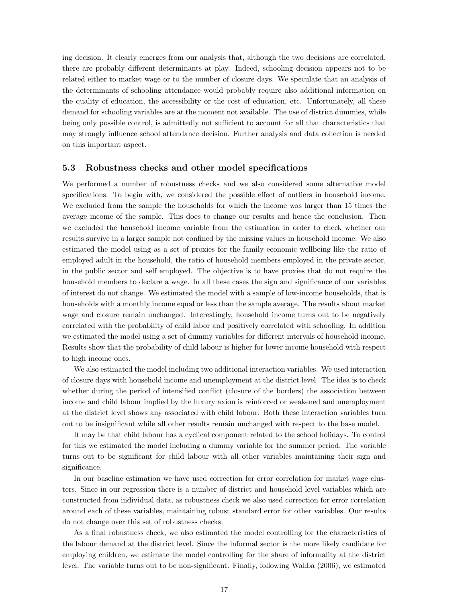ing decision. It clearly emerges from our analysis that, although the two decisions are correlated, there are probably different determinants at play. Indeed, schooling decision appears not to be related either to market wage or to the number of closure days. We speculate that an analysis of the determinants of schooling attendance would probably require also additional information on the quality of education, the accessibility or the cost of education, etc. Unfortunately, all these demand for schooling variables are at the moment not available. The use of district dummies, while being only possible control, is admittedly not sufficient to account for all that characteristics that may strongly influence school attendance decision. Further analysis and data collection is needed on this important aspect.

#### 5.3 Robustness checks and other model specifications

We performed a number of robustness checks and we also considered some alternative model specifications. To begin with, we considered the possible effect of outliers in household income. We excluded from the sample the households for which the income was larger than 15 times the average income of the sample. This does to change our results and hence the conclusion. Then we excluded the household income variable from the estimation in order to check whether our results survive in a larger sample not confined by the missing values in household income. We also estimated the model using as a set of proxies for the family economic wellbeing like the ratio of employed adult in the household, the ratio of household members employed in the private sector, in the public sector and self employed. The objective is to have proxies that do not require the household members to declare a wage. In all these cases the sign and significance of our variables of interest do not change. We estimated the model with a sample of low-income households, that is households with a monthly income equal or less than the sample average. The results about market wage and closure remain unchanged. Interestingly, household income turns out to be negatively correlated with the probability of child labor and positively correlated with schooling. In addition we estimated the model using a set of dummy variables for different intervals of household income. Results show that the probability of child labour is higher for lower income household with respect to high income ones.

We also estimated the model including two additional interaction variables. We used interaction of closure days with household income and unemployment at the district level. The idea is to check whether during the period of intensified conflict (closure of the borders) the association between income and child labour implied by the luxury axion is reinforced or weakened and unemployment at the district level shows any associated with child labour. Both these interaction variables turn out to be insignificant while all other results remain unchanged with respect to the base model.

It may be that child labour has a cyclical component related to the school holidays. To control for this we estimated the model including a dummy variable for the summer period. The variable turns out to be significant for child labour with all other variables maintaining their sign and significance.

In our baseline estimation we have used correction for error correlation for market wage clusters. Since in our regression there is a number of district and household level variables which are constructed from individual data, as robustness check we also used correction for error correlation around each of these variables, maintaining robust standard error for other variables. Our results do not change over this set of robustness checks.

As a final robustness check, we also estimated the model controlling for the characteristics of the labour demand at the district level. Since the informal sector is the more likely candidate for employing children, we estimate the model controlling for the share of informality at the district level. The variable turns out to be non-significant. Finally, following Wahba (2006), we estimated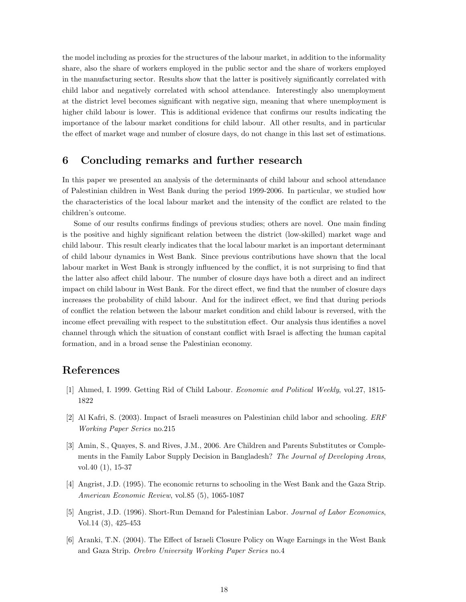the model including as proxies for the structures of the labour market, in addition to the informality share, also the share of workers employed in the public sector and the share of workers employed in the manufacturing sector. Results show that the latter is positively significantly correlated with child labor and negatively correlated with school attendance. Interestingly also unemployment at the district level becomes significant with negative sign, meaning that where unemployment is higher child labour is lower. This is additional evidence that confirms our results indicating the importance of the labour market conditions for child labour. All other results, and in particular the effect of market wage and number of closure days, do not change in this last set of estimations.

## <span id="page-17-0"></span>6 Concluding remarks and further research

In this paper we presented an analysis of the determinants of child labour and school attendance of Palestinian children in West Bank during the period 1999-2006. In particular, we studied how the characteristics of the local labour market and the intensity of the conflict are related to the children's outcome.

Some of our results confirms findings of previous studies; others are novel. One main finding is the positive and highly significant relation between the district (low-skilled) market wage and child labour. This result clearly indicates that the local labour market is an important determinant of child labour dynamics in West Bank. Since previous contributions have shown that the local labour market in West Bank is strongly influenced by the conflict, it is not surprising to find that the latter also affect child labour. The number of closure days have both a direct and an indirect impact on child labour in West Bank. For the direct effect, we find that the number of closure days increases the probability of child labour. And for the indirect effect, we find that during periods of conflict the relation between the labour market condition and child labour is reversed, with the income effect prevailing with respect to the substitution effect. Our analysis thus identifies a novel channel through which the situation of constant conflict with Israel is affecting the human capital formation, and in a broad sense the Palestinian economy.

### References

- [1] Ahmed, I. 1999. Getting Rid of Child Labour. Economic and Political Weekly, vol.27, 1815- 1822
- [2] Al Kafri, S. (2003). Impact of Israeli measures on Palestinian child labor and schooling. ERF Working Paper Series no.215
- [3] Amin, S., Quayes, S. and Rives, J.M., 2006. Are Children and Parents Substitutes or Complements in the Family Labor Supply Decision in Bangladesh? The Journal of Developing Areas, vol.40 (1), 15-37
- [4] Angrist, J.D. (1995). The economic returns to schooling in the West Bank and the Gaza Strip. American Economic Review, vol.85 (5), 1065-1087
- [5] Angrist, J.D. (1996). Short-Run Demand for Palestinian Labor. Journal of Labor Economics, Vol.14 (3), 425-453
- [6] Aranki, T.N. (2004). The Effect of Israeli Closure Policy on Wage Earnings in the West Bank and Gaza Strip. Orebro University Working Paper Series no.4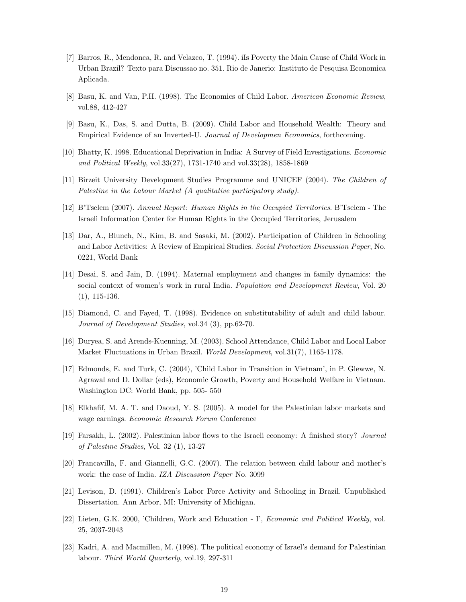- [7] Barros, R., Mendonca, R. and Velazco, T. (1994). iIs Poverty the Main Cause of Child Work in Urban Brazil? Texto para Discussao no. 351. Rio de Janerio: Instituto de Pesquisa Economica Aplicada.
- [8] Basu, K. and Van, P.H. (1998). The Economics of Child Labor. American Economic Review, vol.88, 412-427
- [9] Basu, K., Das, S. and Dutta, B. (2009). Child Labor and Household Wealth: Theory and Empirical Evidence of an Inverted-U. Journal of Developmen Economics, forthcoming.
- [10] Bhatty, K. 1998. Educational Deprivation in India: A Survey of Field Investigations. Economic and Political Weekly, vol.33(27), 1731-1740 and vol.33(28), 1858-1869
- [11] Birzeit University Development Studies Programme and UNICEF (2004). The Children of Palestine in the Labour Market (A qualitative participatory study).
- [12] B'Tselem (2007). Annual Report: Human Rights in the Occupied Territories. B'Tselem The Israeli Information Center for Human Rights in the Occupied Territories, Jerusalem
- [13] Dar, A., Blunch, N., Kim, B. and Sasaki, M. (2002). Participation of Children in Schooling and Labor Activities: A Review of Empirical Studies. Social Protection Discussion Paper, No. 0221, World Bank
- [14] Desai, S. and Jain, D. (1994). Maternal employment and changes in family dynamics: the social context of women's work in rural India. Population and Development Review, Vol. 20 (1), 115-136.
- [15] Diamond, C. and Fayed, T. (1998). Evidence on substitutability of adult and child labour. Journal of Development Studies, vol.34 (3), pp.62-70.
- [16] Duryea, S. and Arends-Kuenning, M. (2003). School Attendance, Child Labor and Local Labor Market Fluctuations in Urban Brazil. World Development, vol.31(7), 1165-1178.
- [17] Edmonds, E. and Turk, C. (2004), 'Child Labor in Transition in Vietnam', in P. Glewwe, N. Agrawal and D. Dollar (eds), Economic Growth, Poverty and Household Welfare in Vietnam. Washington DC: World Bank, pp. 505- 550
- [18] Elkhafif, M. A. T. and Daoud, Y. S. (2005). A model for the Palestinian labor markets and wage earnings. Economic Research Forum Conference
- [19] Farsakh, L. (2002). Palestinian labor flows to the Israeli economy: A finished story? Journal of Palestine Studies, Vol. 32 (1), 13-27
- [20] Francavilla, F. and Giannelli, G.C. (2007). The relation between child labour and mother's work: the case of India. IZA Discussion Paper No. 3099
- [21] Levison, D. (1991). Children's Labor Force Activity and Schooling in Brazil. Unpublished Dissertation. Ann Arbor, MI: University of Michigan.
- [22] Lieten, G.K. 2000, 'Children, Work and Education I', Economic and Political Weekly, vol. 25, 2037-2043
- [23] Kadri, A. and Macmillen, M. (1998). The political economy of Israel's demand for Palestinian labour. Third World Quarterly, vol.19, 297-311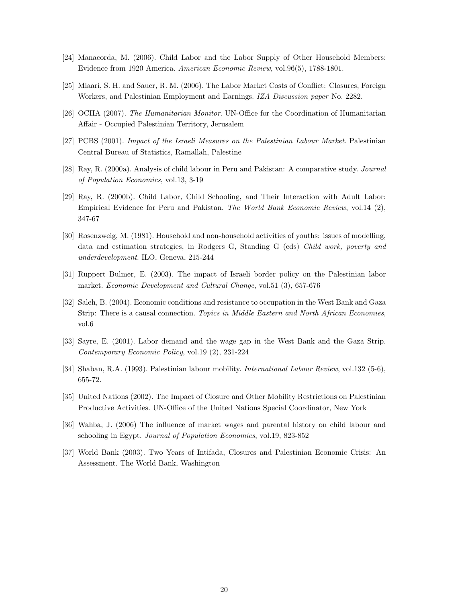- [24] Manacorda, M. (2006). Child Labor and the Labor Supply of Other Household Members: Evidence from 1920 America. American Economic Review, vol.96(5), 1788-1801.
- [25] Miaari, S. H. and Sauer, R. M. (2006). The Labor Market Costs of Conflict: Closures, Foreign Workers, and Palestinian Employment and Earnings. IZA Discussion paper No. 2282.
- [26] OCHA (2007). The Humanitarian Monitor. UN-Office for the Coordination of Humanitarian Affair - Occupied Palestinian Territory, Jerusalem
- [27] PCBS (2001). Impact of the Israeli Measures on the Palestinian Labour Market. Palestinian Central Bureau of Statistics, Ramallah, Palestine
- [28] Ray, R. (2000a). Analysis of child labour in Peru and Pakistan: A comparative study. Journal of Population Economics, vol.13, 3-19
- [29] Ray, R. (2000b). Child Labor, Child Schooling, and Their Interaction with Adult Labor: Empirical Evidence for Peru and Pakistan. The World Bank Economic Review, vol.14 (2), 347-67
- [30] Rosenzweig, M. (1981). Household and non-household activities of youths: issues of modelling, data and estimation strategies, in Rodgers G, Standing G (eds) Child work, poverty and underdevelopment. ILO, Geneva, 215-244
- [31] Ruppert Bulmer, E. (2003). The impact of Israeli border policy on the Palestinian labor market. Economic Development and Cultural Change, vol.51 (3), 657-676
- [32] Saleh, B. (2004). Economic conditions and resistance to occupation in the West Bank and Gaza Strip: There is a causal connection. Topics in Middle Eastern and North African Economies, vol.6
- [33] Sayre, E. (2001). Labor demand and the wage gap in the West Bank and the Gaza Strip. Contemporary Economic Policy, vol.19 (2), 231-224
- [34] Shaban, R.A. (1993). Palestinian labour mobility. International Labour Review, vol.132 (5-6), 655-72.
- [35] United Nations (2002). The Impact of Closure and Other Mobility Restrictions on Palestinian Productive Activities. UN-Office of the United Nations Special Coordinator, New York
- [36] Wahba, J. (2006) The influence of market wages and parental history on child labour and schooling in Egypt. Journal of Population Economics, vol.19, 823-852
- [37] World Bank (2003). Two Years of Intifada, Closures and Palestinian Economic Crisis: An Assessment. The World Bank, Washington